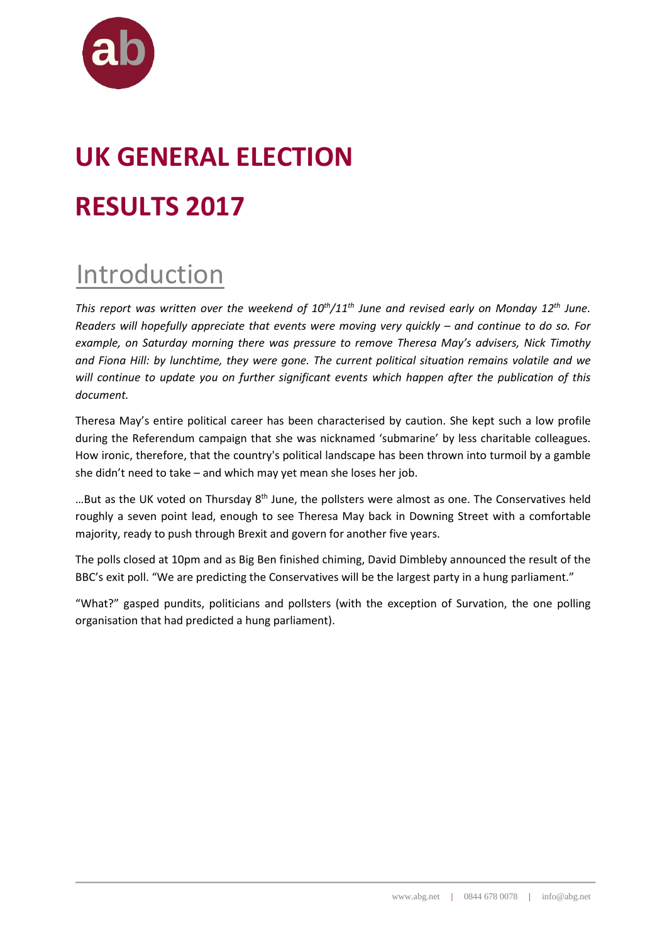

# **UK GENERAL ELECTION RESULTS 2017**

### Introduction

*This report was written over the weekend of 10th/11th June and revised early on Monday 12th June. Readers will hopefully appreciate that events were moving very quickly – and continue to do so. For example, on Saturday morning there was pressure to remove Theresa May's advisers, Nick Timothy and Fiona Hill: by lunchtime, they were gone. The current political situation remains volatile and we will continue to update you on further significant events which happen after the publication of this document.* 

Theresa May's entire political career has been characterised by caution. She kept such a low profile during the Referendum campaign that she was nicknamed 'submarine' by less charitable colleagues. How ironic, therefore, that the country's political landscape has been thrown into turmoil by a gamble she didn't need to take – and which may yet mean she loses her job.

...But as the UK voted on Thursday 8<sup>th</sup> June, the pollsters were almost as one. The Conservatives held roughly a seven point lead, enough to see Theresa May back in Downing Street with a comfortable majority, ready to push through Brexit and govern for another five years.

The polls closed at 10pm and as Big Ben finished chiming, David Dimbleby announced the result of the BBC's exit poll. "We are predicting the Conservatives will be the largest party in a hung parliament."

"What?" gasped pundits, politicians and pollsters (with the exception of Survation, the one polling organisation that had predicted a hung parliament).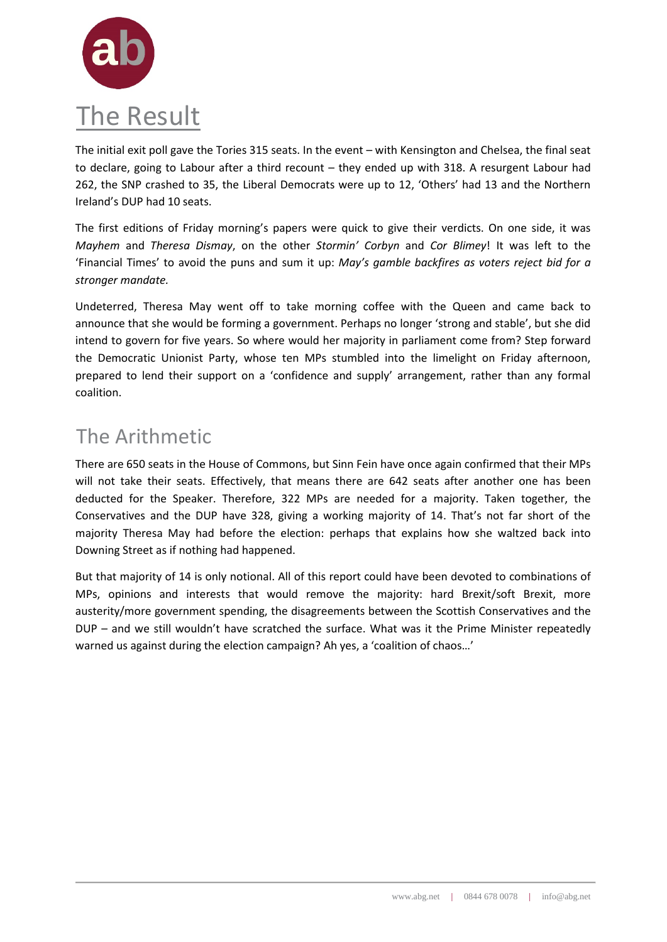

The initial exit poll gave the Tories 315 seats. In the event – with Kensington and Chelsea, the final seat to declare, going to Labour after a third recount – they ended up with 318. A resurgent Labour had 262, the SNP crashed to 35, the Liberal Democrats were up to 12, 'Others' had 13 and the Northern Ireland's DUP had 10 seats.

The first editions of Friday morning's papers were quick to give their verdicts. On one side, it was *Mayhem* and *Theresa Dismay*, on the other *Stormin' Corbyn* and *Cor Blimey*! It was left to the 'Financial Times' to avoid the puns and sum it up: *May's gamble backfires as voters reject bid for a stronger mandate.*

Undeterred, Theresa May went off to take morning coffee with the Queen and came back to announce that she would be forming a government. Perhaps no longer 'strong and stable', but she did intend to govern for five years. So where would her majority in parliament come from? Step forward the Democratic Unionist Party, whose ten MPs stumbled into the limelight on Friday afternoon, prepared to lend their support on a 'confidence and supply' arrangement, rather than any formal coalition.

#### The Arithmetic

There are 650 seats in the House of Commons, but Sinn Fein have once again confirmed that their MPs will not take their seats. Effectively, that means there are 642 seats after another one has been deducted for the Speaker. Therefore, 322 MPs are needed for a majority. Taken together, the Conservatives and the DUP have 328, giving a working majority of 14. That's not far short of the majority Theresa May had before the election: perhaps that explains how she waltzed back into Downing Street as if nothing had happened.

But that majority of 14 is only notional. All of this report could have been devoted to combinations of MPs, opinions and interests that would remove the majority: hard Brexit/soft Brexit, more austerity/more government spending, the disagreements between the Scottish Conservatives and the DUP – and we still wouldn't have scratched the surface. What was it the Prime Minister repeatedly warned us against during the election campaign? Ah yes, a 'coalition of chaos…'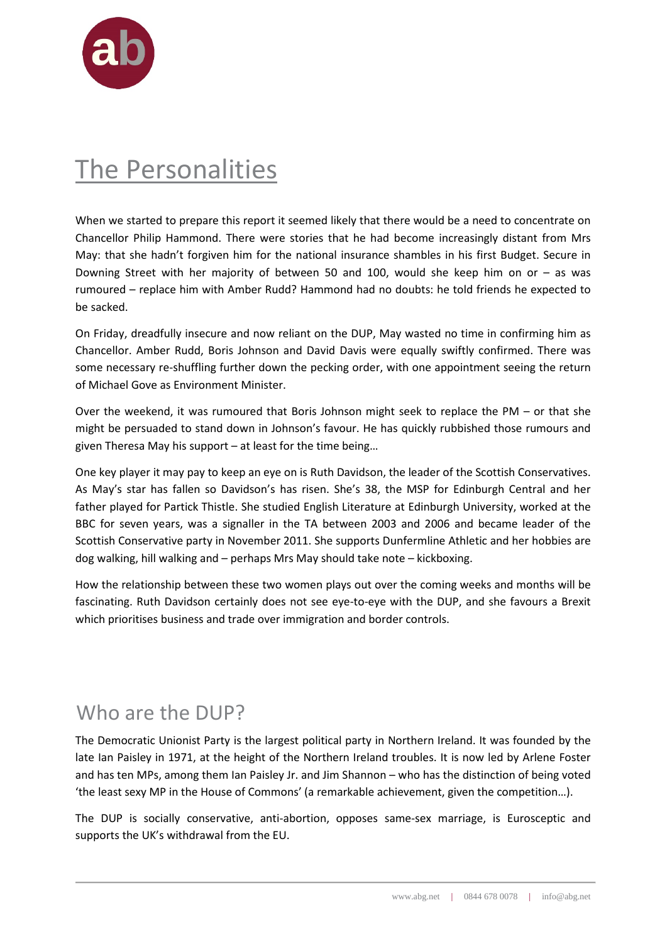

### The Personalities

When we started to prepare this report it seemed likely that there would be a need to concentrate on Chancellor Philip Hammond. There were stories that he had become increasingly distant from Mrs May: that she hadn't forgiven him for the national insurance shambles in his first Budget. Secure in Downing Street with her majority of between 50 and 100, would she keep him on or – as was rumoured – replace him with Amber Rudd? Hammond had no doubts: he told friends he expected to be sacked.

On Friday, dreadfully insecure and now reliant on the DUP, May wasted no time in confirming him as Chancellor. Amber Rudd, Boris Johnson and David Davis were equally swiftly confirmed. There was some necessary re-shuffling further down the pecking order, with one appointment seeing the return of Michael Gove as Environment Minister.

Over the weekend, it was rumoured that Boris Johnson might seek to replace the PM – or that she might be persuaded to stand down in Johnson's favour. He has quickly rubbished those rumours and given Theresa May his support – at least for the time being…

One key player it may pay to keep an eye on is Ruth Davidson, the leader of the Scottish Conservatives. As May's star has fallen so Davidson's has risen. She's 38, the MSP for Edinburgh Central and her father played for Partick Thistle. She studied English Literature at Edinburgh University, worked at the BBC for seven years, was a signaller in the TA between 2003 and 2006 and became leader of the Scottish Conservative party in November 2011. She supports Dunfermline Athletic and her hobbies are dog walking, hill walking and – perhaps Mrs May should take note – kickboxing.

How the relationship between these two women plays out over the coming weeks and months will be fascinating. Ruth Davidson certainly does not see eye-to-eye with the DUP, and she favours a Brexit which prioritises business and trade over immigration and border controls.

#### Who are the DUP?

The Democratic Unionist Party is the largest political party in Northern Ireland. It was founded by the late Ian Paisley in 1971, at the height of the Northern Ireland troubles. It is now led by Arlene Foster and has ten MPs, among them Ian Paisley Jr. and Jim Shannon – who has the distinction of being voted 'the least sexy MP in the House of Commons' (a remarkable achievement, given the competition…).

The DUP is socially conservative, anti-abortion, opposes same-sex marriage, is Eurosceptic and supports the UK's withdrawal from the EU.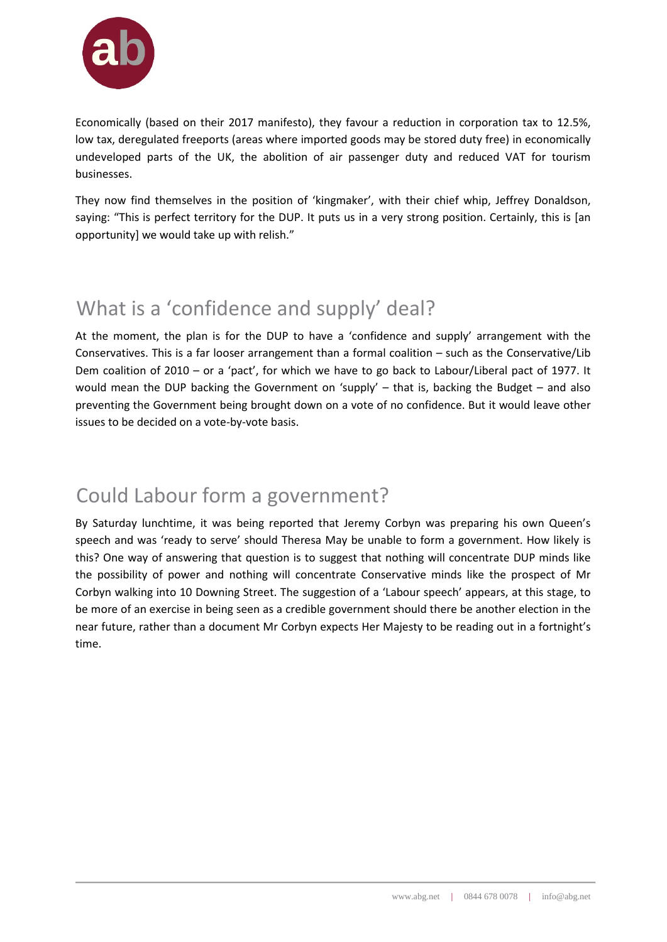

Economically (based on their 2017 manifesto), they favour a reduction in corporation tax to 12.5%, low tax, deregulated freeports (areas where imported goods may be stored duty free) in economically undeveloped parts of the UK, the abolition of air passenger duty and reduced VAT for tourism businesses.

They now find themselves in the position of 'kingmaker', with their chief whip, Jeffrey Donaldson, saying: "This is perfect territory for the DUP. It puts us in a very strong position. Certainly, this is [an opportunity] we would take up with relish."

#### What is a 'confidence and supply' deal?

At the moment, the plan is for the DUP to have a 'confidence and supply' arrangement with the Conservatives. This is a far looser arrangement than a formal coalition – such as the Conservative/Lib Dem coalition of 2010 – or a 'pact', for which we have to go back to Labour/Liberal pact of 1977. It would mean the DUP backing the Government on 'supply' – that is, backing the Budget – and also preventing the Government being brought down on a vote of no confidence. But it would leave other issues to be decided on a vote-by-vote basis.

#### Could Labour form a government?

By Saturday lunchtime, it was being reported that Jeremy Corbyn was preparing his own Queen's speech and was 'ready to serve' should Theresa May be unable to form a government. How likely is this? One way of answering that question is to suggest that nothing will concentrate DUP minds like the possibility of power and nothing will concentrate Conservative minds like the prospect of Mr Corbyn walking into 10 Downing Street. The suggestion of a 'Labour speech' appears, at this stage, to be more of an exercise in being seen as a credible government should there be another election in the near future, rather than a document Mr Corbyn expects Her Majesty to be reading out in a fortnight's time.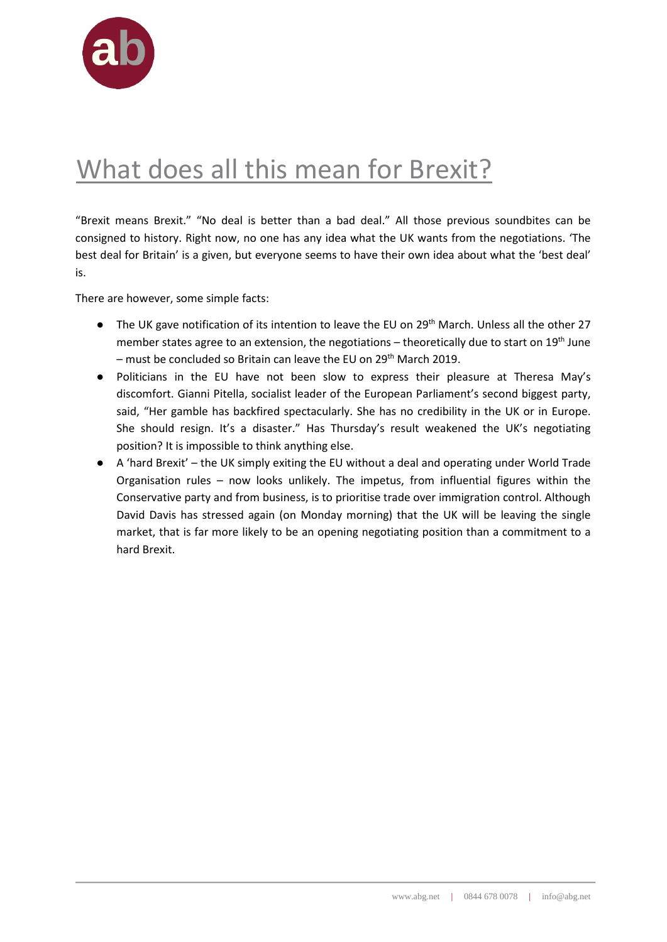

### What does all this mean for Brexit?

"Brexit means Brexit." "No deal is better than a bad deal." All those previous soundbites can be consigned to history. Right now, no one has any idea what the UK wants from the negotiations. 'The best deal for Britain' is a given, but everyone seems to have their own idea about what the 'best deal' is.

There are however, some simple facts:

- The UK gave notification of its intention to leave the EU on 29<sup>th</sup> March. Unless all the other 27 member states agree to an extension, the negotiations – theoretically due to start on 19<sup>th</sup> June – must be concluded so Britain can leave the EU on  $29<sup>th</sup>$  March 2019.
- Politicians in the EU have not been slow to express their pleasure at Theresa May's discomfort. Gianni Pitella, socialist leader of the European Parliament's second biggest party, said, "Her gamble has backfired spectacularly. She has no credibility in the UK or in Europe. She should resign. It's a disaster." Has Thursday's result weakened the UK's negotiating position? It is impossible to think anything else.
- A 'hard Brexit' the UK simply exiting the EU without a deal and operating under World Trade Organisation rules – now looks unlikely. The impetus, from influential figures within the Conservative party and from business, is to prioritise trade over immigration control. Although David Davis has stressed again (on Monday morning) that the UK will be leaving the single market, that is far more likely to be an opening negotiating position than a commitment to a hard Brexit.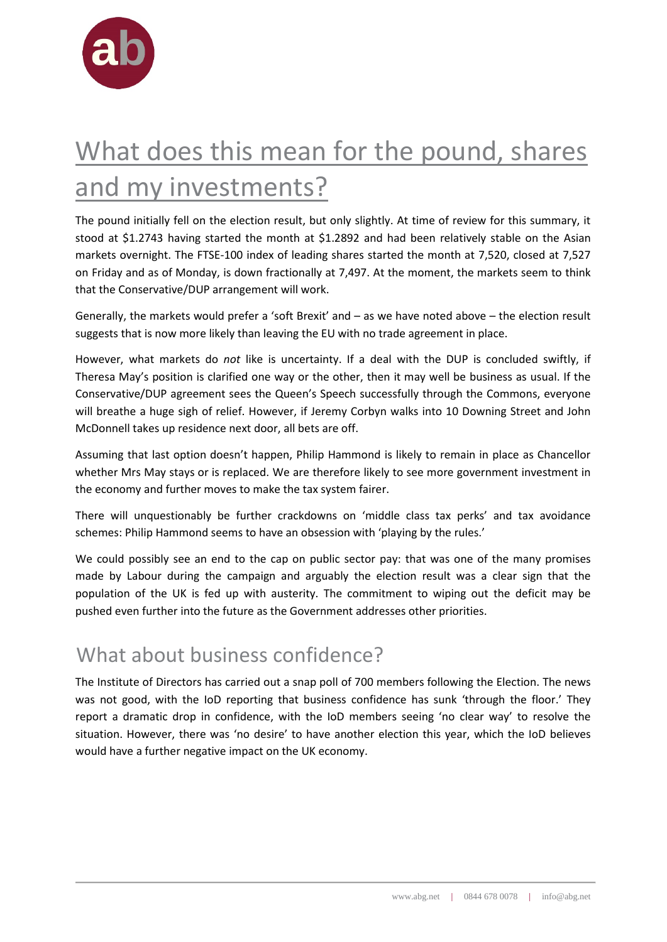

## What does this mean for the pound, shares and my investments?

The pound initially fell on the election result, but only slightly. At time of review for this summary, it stood at \$1.2743 having started the month at \$1.2892 and had been relatively stable on the Asian markets overnight. The FTSE-100 index of leading shares started the month at 7,520, closed at 7,527 on Friday and as of Monday, is down fractionally at 7,497. At the moment, the markets seem to think that the Conservative/DUP arrangement will work.

Generally, the markets would prefer a 'soft Brexit' and – as we have noted above – the election result suggests that is now more likely than leaving the EU with no trade agreement in place.

However, what markets do *not* like is uncertainty. If a deal with the DUP is concluded swiftly, if Theresa May's position is clarified one way or the other, then it may well be business as usual. If the Conservative/DUP agreement sees the Queen's Speech successfully through the Commons, everyone will breathe a huge sigh of relief. However, if Jeremy Corbyn walks into 10 Downing Street and John McDonnell takes up residence next door, all bets are off.

Assuming that last option doesn't happen, Philip Hammond is likely to remain in place as Chancellor whether Mrs May stays or is replaced. We are therefore likely to see more government investment in the economy and further moves to make the tax system fairer.

There will unquestionably be further crackdowns on 'middle class tax perks' and tax avoidance schemes: Philip Hammond seems to have an obsession with 'playing by the rules.'

We could possibly see an end to the cap on public sector pay: that was one of the many promises made by Labour during the campaign and arguably the election result was a clear sign that the population of the UK is fed up with austerity. The commitment to wiping out the deficit may be pushed even further into the future as the Government addresses other priorities.

#### What about business confidence?

The Institute of Directors has carried out a snap poll of 700 members following the Election. The news was not good, with the IoD reporting that business confidence has sunk 'through the floor.' They report a dramatic drop in confidence, with the IoD members seeing 'no clear way' to resolve the situation. However, there was 'no desire' to have another election this year, which the IoD believes would have a further negative impact on the UK economy.